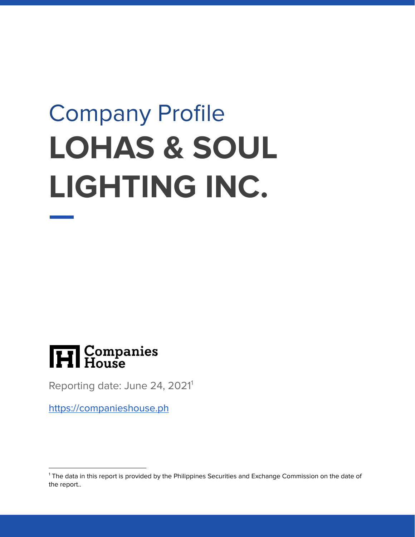# Company Profile **LOHAS & SOUL LIGHTING INC.**



Reporting date: June 24, 2021<sup>1</sup>

<https://companieshouse.ph>

<sup>&</sup>lt;sup>1</sup> The data in this report is provided by the Philippines Securities and Exchange Commission on the date of the report..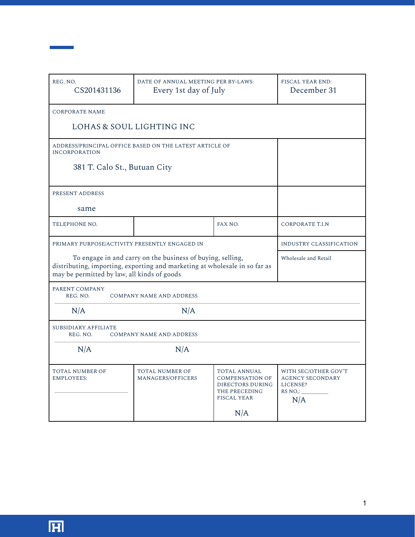| REG. NO.<br>CS201431136                                                                                                                                                                 | DATE OF ANNUAL MEETING PER BY-LAWS:<br>Every 1st day of July | FISCAL YEAR END:<br>December 31                                                                          |                                                                               |  |  |  |
|-----------------------------------------------------------------------------------------------------------------------------------------------------------------------------------------|--------------------------------------------------------------|----------------------------------------------------------------------------------------------------------|-------------------------------------------------------------------------------|--|--|--|
| <b>CORPORATE NAME</b>                                                                                                                                                                   |                                                              |                                                                                                          |                                                                               |  |  |  |
| LOHAS & SOUL LIGHTING INC                                                                                                                                                               |                                                              |                                                                                                          |                                                                               |  |  |  |
| ADDRESS/PRINCIPAL OFFICE BASED ON THE LATEST ARTICLE OF<br><b>INCORPORATION</b>                                                                                                         |                                                              |                                                                                                          |                                                                               |  |  |  |
| 381 T. Calo St., Butuan City                                                                                                                                                            |                                                              |                                                                                                          |                                                                               |  |  |  |
| PRESENT ADDRESS                                                                                                                                                                         |                                                              |                                                                                                          |                                                                               |  |  |  |
| same                                                                                                                                                                                    |                                                              |                                                                                                          |                                                                               |  |  |  |
| TELEPHONE NO.                                                                                                                                                                           |                                                              | FAX NO.                                                                                                  | <b>CORPORATE T.I.N</b>                                                        |  |  |  |
| PRIMARY PURPOSE/ACTIVITY PRESENTLY ENGAGED IN                                                                                                                                           | INDUSTRY CLASSIFICATION                                      |                                                                                                          |                                                                               |  |  |  |
| To engage in and carry on the business of buying, selling,<br>distributing, importing, exporting and marketing at wholesale in so far as<br>may be permitted by law, all kinds of goods | Wholesale and Retail                                         |                                                                                                          |                                                                               |  |  |  |
| PARENT COMPANY<br>REG. NO.<br><b>COMPANY NAME AND ADDRESS</b>                                                                                                                           |                                                              |                                                                                                          |                                                                               |  |  |  |
| N/A<br>N/A                                                                                                                                                                              |                                                              |                                                                                                          |                                                                               |  |  |  |
| SUBSIDIARY AFFILIATE<br>REG. NO.                                                                                                                                                        | <b>COMPANY NAME AND ADDRESS</b>                              |                                                                                                          |                                                                               |  |  |  |
| N/A<br>N/A                                                                                                                                                                              |                                                              |                                                                                                          |                                                                               |  |  |  |
| TOTAL NUMBER OF<br><b>EMPLOYEES:</b>                                                                                                                                                    | TOTAL NUMBER OF<br>MANAGERS/OFFICERS                         | TOTAL ANNUAL<br><b>COMPENSATION OF</b><br>DIRECTORS DURING<br>THE PRECEDING<br><b>FISCAL YEAR</b><br>N/A | WITH SEC/OTHER GOV'T<br><b>AGENCY SECONDARY</b><br>LICENSE?<br>RS NO.:<br>N/A |  |  |  |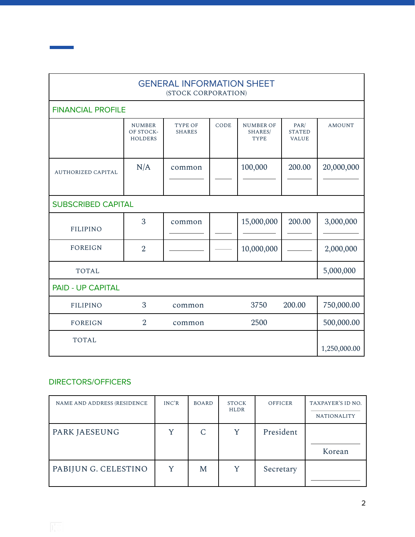| <b>GENERAL INFORMATION SHEET</b><br>(STOCK CORPORATION) |                                              |                          |      |                                            |                                       |               |  |  |
|---------------------------------------------------------|----------------------------------------------|--------------------------|------|--------------------------------------------|---------------------------------------|---------------|--|--|
|                                                         | <b>FINANCIAL PROFILE</b>                     |                          |      |                                            |                                       |               |  |  |
|                                                         | <b>NUMBER</b><br>OF STOCK-<br><b>HOLDERS</b> | TYPE OF<br><b>SHARES</b> | CODE | <b>NUMBER OF</b><br>SHARES/<br><b>TYPE</b> | PAR/<br><b>STATED</b><br><b>VALUE</b> | <b>AMOUNT</b> |  |  |
| <b>AUTHORIZED CAPITAL</b>                               | N/A                                          | common                   |      | 100,000                                    | 200.00                                | 20,000,000    |  |  |
| <b>SUBSCRIBED CAPITAL</b>                               |                                              |                          |      |                                            |                                       |               |  |  |
| <b>FILIPINO</b>                                         | 3                                            | common                   |      | 15,000,000                                 | 200.00                                | 3,000,000     |  |  |
| <b>FOREIGN</b>                                          | $\overline{2}$                               |                          |      | 10,000,000                                 |                                       | 2,000,000     |  |  |
| <b>TOTAL</b>                                            |                                              |                          |      |                                            |                                       | 5,000,000     |  |  |
| <b>PAID - UP CAPITAL</b>                                |                                              |                          |      |                                            |                                       |               |  |  |
| <b>FILIPINO</b>                                         | 3                                            | common                   |      | 3750                                       | 200.00                                | 750,000.00    |  |  |
| <b>FOREIGN</b>                                          | $\overline{2}$                               | common                   |      | 2500                                       |                                       | 500,000.00    |  |  |
| <b>TOTAL</b>                                            |                                              |                          |      |                                            |                                       | 1,250,000.00  |  |  |

## DIRECTORS/OFFICERS

**Contract Contract** 

| NAME AND ADDRESS (RESIDENCE | INC'R | <b>BOARD</b> | <b>STOCK</b><br><b>HLDR</b> | OFFICER   | TAXPAYER'S ID NO.<br><b>NATIONALITY</b> |
|-----------------------------|-------|--------------|-----------------------------|-----------|-----------------------------------------|
| PARK JAESEUNG               |       | C            | Y                           | President | Korean                                  |
| PABIJUN G. CELESTINO        |       | M            | Y                           | Secretary |                                         |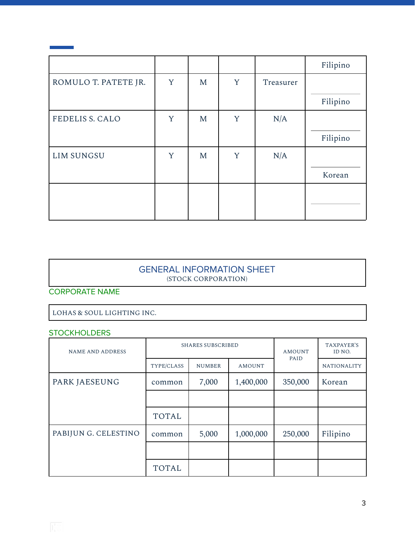|                        |   |   |   |           | Filipino |
|------------------------|---|---|---|-----------|----------|
| ROMULO T. PATETE JR.   | Y | M | Y | Treasurer |          |
|                        |   |   |   |           | Filipino |
| <b>FEDELIS S. CALO</b> | Y | M | Y | N/A       |          |
|                        |   |   |   |           | Filipino |
| <b>LIM SUNGSU</b>      | Y | M | Y | N/A       |          |
|                        |   |   |   |           | Korean   |
|                        |   |   |   |           |          |
|                        |   |   |   |           |          |

 $\mathbf{I}$ 

#### GENERAL INFORMATION SHEET (STOCK CORPORATION)

CORPORATE NAME

LOHAS & SOUL LIGHTING INC.

#### **STOCKHOLDERS**

| <b>NAME AND ADDRESS</b> | <b>SHARES SUBSCRIBED</b> |               |               | <b>AMOUNT</b><br>PAID | TAXPAYER'S<br>ID NO. |
|-------------------------|--------------------------|---------------|---------------|-----------------------|----------------------|
|                         | TYPE/CLASS               | <b>NUMBER</b> | <b>AMOUNT</b> |                       | <b>NATIONALITY</b>   |
| PARK JAESEUNG           | common                   | 7,000         | 1,400,000     | 350,000               | Korean               |
|                         |                          |               |               |                       |                      |
|                         | <b>TOTAL</b>             |               |               |                       |                      |
| PABIJUN G. CELESTINO    | common                   | 5,000         | 1,000,000     | 250,000               | Filipino             |
|                         |                          |               |               |                       |                      |
|                         | <b>TOTAL</b>             |               |               |                       |                      |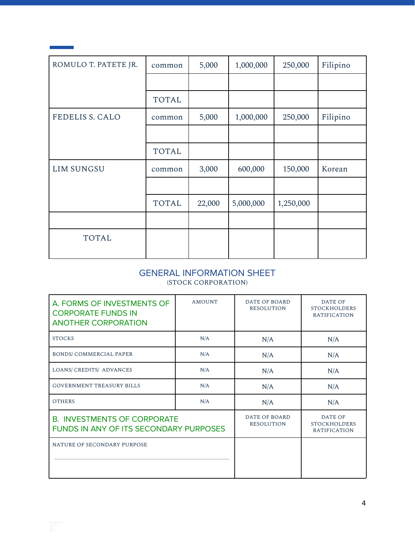| ROMULO T. PATETE JR.   | common       | 5,000  | 1,000,000 | 250,000   | Filipino |
|------------------------|--------------|--------|-----------|-----------|----------|
|                        |              |        |           |           |          |
|                        | <b>TOTAL</b> |        |           |           |          |
| <b>FEDELIS S. CALO</b> | common       | 5,000  | 1,000,000 | 250,000   | Filipino |
|                        |              |        |           |           |          |
|                        | <b>TOTAL</b> |        |           |           |          |
| <b>LIM SUNGSU</b>      | common       | 3,000  | 600,000   | 150,000   | Korean   |
|                        |              |        |           |           |          |
|                        | <b>TOTAL</b> | 22,000 | 5,000,000 | 1,250,000 |          |
|                        |              |        |           |           |          |
| <b>TOTAL</b>           |              |        |           |           |          |

#### GENERAL INFORMATION SHEET (STOCK CORPORATION)

| A. FORMS OF INVESTMENTS OF<br><b>CORPORATE FUNDS IN</b><br><b>ANOTHER CORPORATION</b> | <b>AMOUNT</b>                      | DATE OF BOARD<br><b>RESOLUTION</b>                           | <b>DATE OF</b><br><b>STOCKHOLDERS</b><br><b>RATIFICATION</b> |
|---------------------------------------------------------------------------------------|------------------------------------|--------------------------------------------------------------|--------------------------------------------------------------|
| <b>STOCKS</b>                                                                         | N/A                                | N/A                                                          | N/A                                                          |
| <b>BONDS/COMMERCIAL PAPER</b>                                                         | N/A                                | N/A                                                          | N/A                                                          |
| LOANS/ CREDITS/ ADVANCES                                                              | N/A                                | N/A                                                          | N/A                                                          |
| <b>GOVERNMENT TREASURY BILLS</b>                                                      | N/A                                | N/A                                                          | N/A                                                          |
| <b>OTHERS</b>                                                                         | N/A                                | N/A                                                          | N/A                                                          |
| <b>B. INVESTMENTS OF CORPORATE</b><br><b>FUNDS IN ANY OF ITS SECONDARY PURPOSES</b>   | DATE OF BOARD<br><b>RESOLUTION</b> | <b>DATE OF</b><br><b>STOCKHOLDERS</b><br><b>RATIFICATION</b> |                                                              |
| NATURE OF SECONDARY PURPOSE                                                           |                                    |                                                              |                                                              |